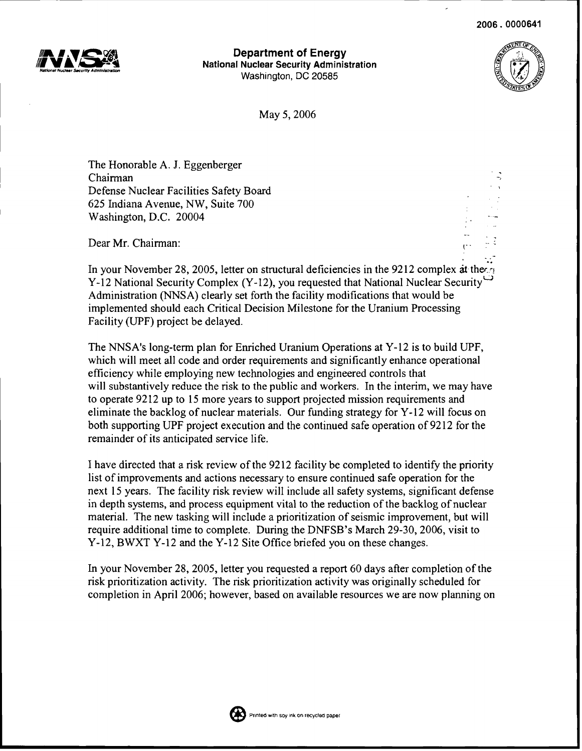

**Department of Energy** National Nuclear Security Administration Washington, DC 20585



May 5,2006

The Honorable A. J. Eggenberger Chairman Defense Nuclear Facilities Safety Board 625 Indiana Avenue, NW, Suite 700 Washington, D.C. 20004

Dear Mr. Chairman:

In your November 28, 2005, letter on structural deficiencies in the 9212 complex at the Y-12 National Security Complex (Y-12), you requested that National Nuclear Security<sup> $\bigcup$ </sup> Administration (NNSA) clearly set forth the facility modifications that would be implemented should each Critical Decision Milestone for the Uranium Processing Facility (UPF) project be delayed.

The NNSA's long-tenn plan for Enriched Uranium Operations at Y-12 is to build UPF, which will meet all code and order requirements and significantly enhance operational efficiency while employing new technologies and engineered controls that will substantively reduce the risk to the public and workers. In the interim, we may have to operate 9212 up to 15 more years to support projected mission requirements and eliminate the backlog of nuclear materials. Our funding strategy for Y-12 will focus on both supporting UPF project execution and the continued safe operation of 9212 for the remainder of its anticipated service life.

I have directed that a risk review of the 9212 facility be completed to identify the priority list of improvements and actions necessary to ensure continued safe operation for the next 15 years. The facility risk review will include all safety systems, significant defense in depth systems, and process equipment vital to the reduction ofthe backlog of nuclear material. The new tasking will include a prioritization of seismic improvement, but will require additional time to complete. During the DNFSB's March 29-30, 2006, visit to Y-12, BWXT Y-12 and the Y-12 Site Office briefed you on these changes.

In your November 28, 2005, letter you requested a report 60 days after completion of the risk prioritization activity. The risk prioritization activity was originally scheduled for completion in April 2006; however, based on available resources we are now planning on